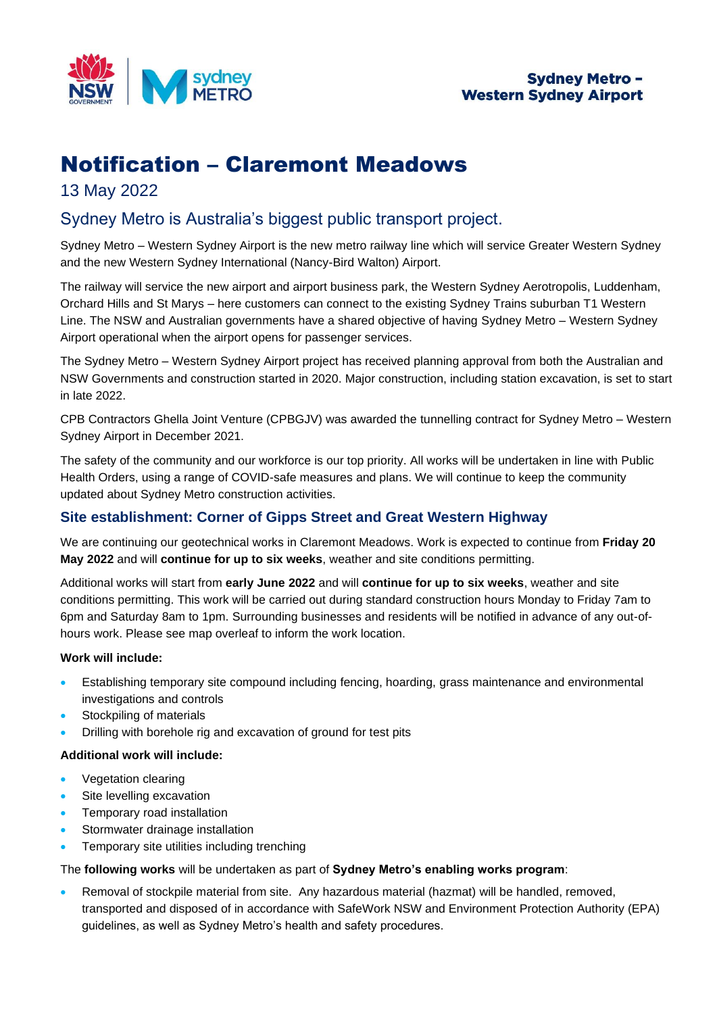

# Notification – Claremont Meadows

# 13 May 2022

# Sydney Metro is Australia's biggest public transport project.

Sydney Metro – Western Sydney Airport is the new metro railway line which will service Greater Western Sydney and the new Western Sydney International (Nancy-Bird Walton) Airport.

The railway will service the new airport and airport business park, the Western Sydney Aerotropolis, Luddenham, Orchard Hills and St Marys – here customers can connect to the existing Sydney Trains suburban T1 Western Line. The NSW and Australian governments have a shared objective of having Sydney Metro – Western Sydney Airport operational when the airport opens for passenger services.

The Sydney Metro – Western Sydney Airport project has received planning approval from both the Australian and NSW Governments and construction started in 2020. Major construction, including station excavation, is set to start in late 2022.

CPB Contractors Ghella Joint Venture (CPBGJV) was awarded the tunnelling contract for Sydney Metro – Western Sydney Airport in December 2021.

The safety of the community and our workforce is our top priority. All works will be undertaken in line with Public Health Orders, using a range of COVID-safe measures and plans. We will continue to keep the community updated about Sydney Metro construction activities.

# **Site establishment: Corner of Gipps Street and Great Western Highway**

We are continuing our geotechnical works in Claremont Meadows. Work is expected to continue from **Friday 20 May 2022** and will **continue for up to six weeks**, weather and site conditions permitting.

Additional works will start from **early June 2022** and will **continue for up to six weeks**, weather and site conditions permitting. This work will be carried out during standard construction hours Monday to Friday 7am to 6pm and Saturday 8am to 1pm. Surrounding businesses and residents will be notified in advance of any out-ofhours work. Please see map overleaf to inform the work location.

## **Work will include:**

- Establishing temporary site compound including fencing, hoarding, grass maintenance and environmental investigations and controls
- Stockpiling of materials
- Drilling with borehole rig and excavation of ground for test pits

## **Additional work will include:**

- Vegetation clearing
- Site levelling excavation
- Temporary road installation
- Stormwater drainage installation
- Temporary site utilities including trenching

## The **following works** will be undertaken as part of **Sydney Metro's enabling works program**:

• Removal of stockpile material from site. Any hazardous material (hazmat) will be handled, removed, transported and disposed of in accordance with SafeWork NSW and Environment Protection Authority (EPA) guidelines, as well as Sydney Metro's health and safety procedures.